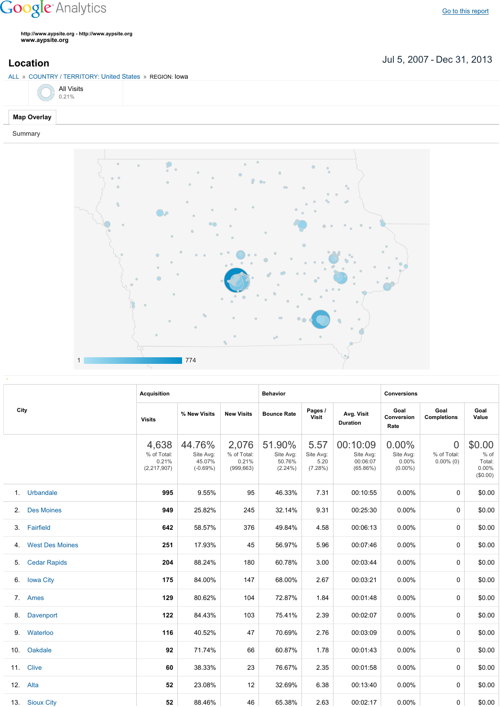## **Google** Analytics

**http://www.aypsite.org http://www.aypsite.org www.aypsite.org**

ALL » COUNTRY / TERRITORY: United States » REGION: Iowa

Jul 5, 2007 Dec 31, 2013 **Location**



## Summary



|      |                        | <b>Acquisition</b>                             |                                             |                                             | <b>Behavior</b>                             |                                         |                                               | <b>Conversions</b>                           |                                                                                                                                                                                        |                                                 |  |
|------|------------------------|------------------------------------------------|---------------------------------------------|---------------------------------------------|---------------------------------------------|-----------------------------------------|-----------------------------------------------|----------------------------------------------|----------------------------------------------------------------------------------------------------------------------------------------------------------------------------------------|-------------------------------------------------|--|
| City |                        | <b>Visits</b>                                  | % New Visits                                | <b>New Visits</b>                           | <b>Bounce Rate</b>                          | Pages /<br>Visit                        | Avg. Visit<br><b>Duration</b>                 | Goal<br>Conversion<br>Rate                   | Goal<br><b>Completions</b><br>$\overline{0}$<br>% of Total:<br>$0.00\%$ (0)<br>0<br>0<br>0<br>0<br>0<br>$\Omega$<br>$\Omega$<br>0<br>$\Omega$<br>$\Omega$<br>$\Omega$<br>$\Omega$<br>0 | Goal<br>Value                                   |  |
|      |                        | 4,638<br>% of Total:<br>0.21%<br>(2, 217, 907) | 44.76%<br>Site Avg:<br>45.07%<br>$(-0.69%)$ | 2,076<br>% of Total:<br>0.21%<br>(999, 663) | 51.90%<br>Site Avg:<br>50.76%<br>$(2.24\%)$ | 5.57<br>Site Avg:<br>5.20<br>$(7.28\%)$ | 00:10:09<br>Site Avg:<br>00:06:07<br>(65.86%) | $0.00\%$<br>Site Avg:<br>0.00%<br>$(0.00\%)$ |                                                                                                                                                                                        | \$0.00<br>$%$ of<br>Total:<br>0.00%<br>(\$0.00) |  |
|      | 1. Urbandale           | 995                                            | 9.55%                                       | 95                                          | 46.33%                                      | 7.31                                    | 00:10:55                                      | 0.00%                                        |                                                                                                                                                                                        | \$0.00                                          |  |
| 2.   | <b>Des Moines</b>      | 949                                            | 25.82%                                      | 245                                         | 32.14%                                      | 9.31                                    | 00:25:30                                      | 0.00%                                        |                                                                                                                                                                                        | \$0.00                                          |  |
| 3.   | Fairfield              | 642                                            | 58.57%                                      | 376                                         | 49.84%                                      | 4.58                                    | 00:06:13                                      | 0.00%                                        |                                                                                                                                                                                        | \$0.00                                          |  |
| 4.   | <b>West Des Moines</b> | 251                                            | 17.93%                                      | 45                                          | 56.97%                                      | 5.96                                    | 00:07:46                                      | 0.00%                                        |                                                                                                                                                                                        | \$0.00                                          |  |
| 5.   | <b>Cedar Rapids</b>    | 204                                            | 88.24%                                      | 180                                         | 60.78%                                      | 3.00                                    | 00:03:44                                      | 0.00%                                        |                                                                                                                                                                                        | \$0.00                                          |  |
| 6.   | <b>Iowa City</b>       | 175                                            | 84.00%                                      | 147                                         | 68.00%                                      | 2.67                                    | 00:03:21                                      | 0.00%                                        |                                                                                                                                                                                        | \$0.00                                          |  |
| 7.   | Ames                   | 129                                            | 80.62%                                      | 104                                         | 72.87%                                      | 1.84                                    | 00:01:48                                      | 0.00%                                        |                                                                                                                                                                                        | \$0.00                                          |  |
| 8.   | <b>Davenport</b>       | 122                                            | 84.43%                                      | 103                                         | 75.41%                                      | 2.39                                    | 00:02:07                                      | 0.00%                                        |                                                                                                                                                                                        | \$0.00                                          |  |
| 9.   | Waterloo               | 116                                            | 40.52%                                      | 47                                          | 70.69%                                      | 2.76                                    | 00:03:09                                      | 0.00%                                        |                                                                                                                                                                                        | \$0.00                                          |  |
| 10.  | Oakdale                | 92                                             | 71.74%                                      | 66                                          | 60.87%                                      | 1.78                                    | 00:01:43                                      | 0.00%                                        |                                                                                                                                                                                        | \$0.00                                          |  |
|      | 11. Clive              | 60                                             | 38.33%                                      | 23                                          | 76.67%                                      | 2.35                                    | 00:01:58                                      | 0.00%                                        |                                                                                                                                                                                        | \$0.00                                          |  |
|      | 12. Alta               | 52                                             | 23.08%                                      | 12                                          | 32.69%                                      | 6.38                                    | 00:13:40                                      | 0.00%                                        |                                                                                                                                                                                        | \$0.00                                          |  |
|      | 13. Sioux City         | 52                                             | 88.46%                                      | 46                                          | 65.38%                                      | 2.63                                    | 00:02:17                                      | $0.00\%$                                     |                                                                                                                                                                                        | \$0.00                                          |  |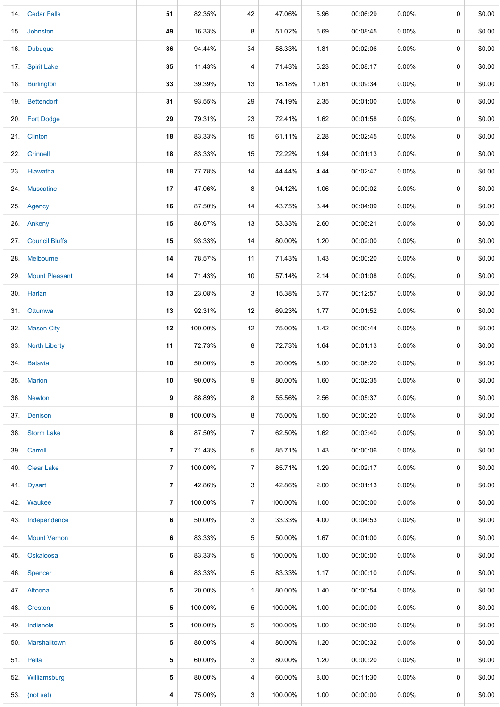|     | 14. Cedar Falls       | 51             | 82.35%  | 42             | 47.06%  | 5.96  | 00:06:29 | 0.00%    | 0 | \$0.00 |
|-----|-----------------------|----------------|---------|----------------|---------|-------|----------|----------|---|--------|
|     | 15. Johnston          | 49             | 16.33%  | 8              | 51.02%  | 6.69  | 00:08:45 | 0.00%    | 0 | \$0.00 |
|     | 16. Dubuque           | 36             | 94.44%  | 34             | 58.33%  | 1.81  | 00:02:06 | $0.00\%$ | 0 | \$0.00 |
|     | 17. Spirit Lake       | 35             | 11.43%  | 4              | 71.43%  | 5.23  | 00:08:17 | $0.00\%$ | 0 | \$0.00 |
|     | 18. Burlington        | 33             | 39.39%  | 13             | 18.18%  | 10.61 | 00:09:34 | $0.00\%$ | 0 | \$0.00 |
|     | 19. Bettendorf        | 31             | 93.55%  | 29             | 74.19%  | 2.35  | 00:01:00 | 0.00%    | 0 | \$0.00 |
|     | 20. Fort Dodge        | 29             | 79.31%  | 23             | 72.41%  | 1.62  | 00:01:58 | $0.00\%$ | 0 | \$0.00 |
|     | 21. Clinton           | 18             | 83.33%  | 15             | 61.11%  | 2.28  | 00:02:45 | $0.00\%$ | 0 | \$0.00 |
|     | 22. Grinnell          | 18             | 83.33%  | 15             | 72.22%  | 1.94  | 00:01:13 | $0.00\%$ | 0 | \$0.00 |
|     | 23. Hiawatha          | 18             | 77.78%  | 14             | 44.44%  | 4.44  | 00:02:47 | $0.00\%$ | 0 | \$0.00 |
|     | 24. Muscatine         | 17             | 47.06%  | 8              | 94.12%  | 1.06  | 00:00:02 | $0.00\%$ | 0 | \$0.00 |
|     | 25. Agency            | 16             | 87.50%  | 14             | 43.75%  | 3.44  | 00:04:09 | 0.00%    | 0 | \$0.00 |
|     | 26. Ankeny            | 15             | 86.67%  | 13             | 53.33%  | 2.60  | 00:06:21 | $0.00\%$ | 0 | \$0.00 |
| 27. | <b>Council Bluffs</b> | 15             | 93.33%  | 14             | 80.00%  | 1.20  | 00:02:00 | $0.00\%$ | 0 | \$0.00 |
|     | 28. Melbourne         | 14             | 78.57%  | 11             | 71.43%  | 1.43  | 00:00:20 | $0.00\%$ | 0 | \$0.00 |
| 29. | <b>Mount Pleasant</b> | 14             | 71.43%  | 10             | 57.14%  | 2.14  | 00:01:08 | $0.00\%$ | 0 | \$0.00 |
|     | 30. Harlan            | 13             | 23.08%  | 3              | 15.38%  | 6.77  | 00:12:57 | $0.00\%$ | 0 | \$0.00 |
|     | 31. Ottumwa           | 13             | 92.31%  | 12             | 69.23%  | 1.77  | 00:01:52 | $0.00\%$ | 0 | \$0.00 |
| 32. | <b>Mason City</b>     | 12             | 100.00% | 12             | 75.00%  | 1.42  | 00:00:44 | $0.00\%$ | 0 | \$0.00 |
|     | 33. North Liberty     | 11             | 72.73%  | 8              | 72.73%  | 1.64  | 00:01:13 | $0.00\%$ | 0 | \$0.00 |
|     | 34. Batavia           | 10             | 50.00%  | 5              | 20.00%  | 8.00  | 00:08:20 | $0.00\%$ | 0 | \$0.00 |
|     | 35. Marion            | 10             | 90.00%  | 9              | 80.00%  | 1.60  | 00:02:35 | $0.00\%$ | 0 | \$0.00 |
|     | 36. Newton            | 9              | 88.89%  | 8              | 55.56%  | 2.56  | 00:05:37 | $0.00\%$ | 0 | \$0.00 |
|     | 37. Denison           | 8              | 100.00% | 8              | 75.00%  | 1.50  | 00:00:20 | $0.00\%$ | 0 | \$0.00 |
|     | 38. Storm Lake        | 8              | 87.50%  | $\overline{7}$ | 62.50%  | 1.62  | 00:03:40 | $0.00\%$ | 0 | \$0.00 |
|     | 39. Carroll           | 7              | 71.43%  | 5              | 85.71%  | 1.43  | 00:00:06 | $0.00\%$ | 0 | \$0.00 |
| 40. | <b>Clear Lake</b>     | $\overline{7}$ | 100.00% | $\overline{7}$ | 85.71%  | 1.29  | 00:02:17 | $0.00\%$ | 0 | \$0.00 |
|     | 41. Dysart            | 7              | 42.86%  | 3              | 42.86%  | 2.00  | 00:01:13 | $0.00\%$ | 0 | \$0.00 |
|     | 42. Waukee            | $\overline{7}$ | 100.00% | $\overline{7}$ | 100.00% | 1.00  | 00:00:00 | $0.00\%$ | 0 | \$0.00 |
|     | 43. Independence      | 6              | 50.00%  | 3              | 33.33%  | 4.00  | 00:04:53 | $0.00\%$ | 0 | \$0.00 |
| 44. | <b>Mount Vernon</b>   | 6              | 83.33%  | 5              | 50.00%  | 1.67  | 00:01:00 | $0.00\%$ | 0 | \$0.00 |
| 45. | Oskaloosa             | 6              | 83.33%  | 5              | 100.00% | 1.00  | 00:00:00 | $0.00\%$ | 0 | \$0.00 |
| 46. | Spencer               | 6              | 83.33%  | 5              | 83.33%  | 1.17  | 00:00:10 | $0.00\%$ | 0 | \$0.00 |
|     | 47. Altoona           | 5              | 20.00%  | $\mathbf{1}$   | 80.00%  | 1.40  | 00:00:54 | $0.00\%$ | 0 | \$0.00 |
|     | 48. Creston           | 5              | 100.00% | $\sqrt{5}$     | 100.00% | 1.00  | 00:00:00 | $0.00\%$ | 0 | \$0.00 |
|     | 49. Indianola         | 5              | 100.00% | 5              | 100.00% | 1.00  | 00:00:00 | $0.00\%$ | 0 | \$0.00 |
|     | 50. Marshalltown      | 5              | 80.00%  | 4              | 80.00%  | 1.20  | 00:00:32 | $0.00\%$ | 0 | \$0.00 |
|     | 51. Pella             | 5              | 60.00%  | 3              | 80.00%  | 1.20  | 00:00:20 | $0.00\%$ | 0 | \$0.00 |
|     | 52. Williamsburg      | 5              | 80.00%  | 4              | 60.00%  | 8.00  | 00:11:30 | $0.00\%$ | 0 | \$0.00 |
|     | 53. (not set)         | 4              | 75.00%  | 3              | 100.00% | 1.00  | 00:00:00 | $0.00\%$ | 0 | \$0.00 |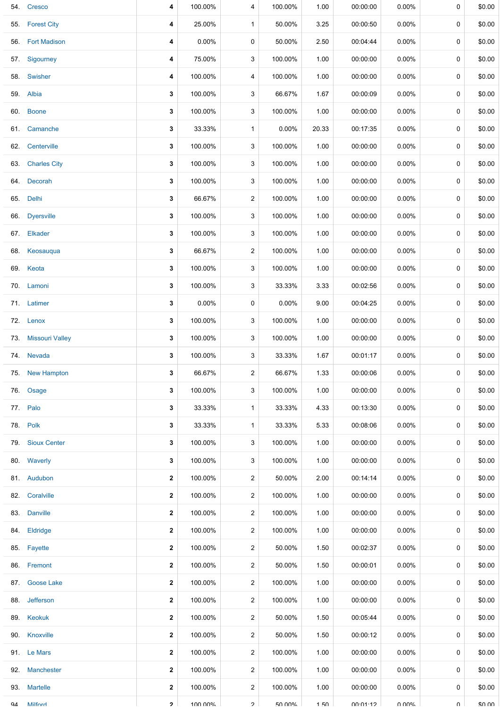|     | 54. Cresco          | 4 | 100.00%  | 4              | 100.00%       | 1.00  | 00:00:00 | $0.00\%$ | 0      | \$0.00 |
|-----|---------------------|---|----------|----------------|---------------|-------|----------|----------|--------|--------|
|     | 55. Forest City     | 4 | 25.00%   | $\mathbf{1}$   | 50.00%        | 3.25  | 00:00:50 | $0.00\%$ | 0      | \$0.00 |
|     | 56. Fort Madison    | 4 | $0.00\%$ | 0              | 50.00%        | 2.50  | 00:04:44 | $0.00\%$ | 0      | \$0.00 |
|     | 57. Sigourney       | 4 | 75.00%   | 3              | 100.00%       | 1.00  | 00:00:00 | 0.00%    | 0      | \$0.00 |
|     | 58. Swisher         | 4 | 100.00%  | 4              | 100.00%       | 1.00  | 00:00:00 | $0.00\%$ | 0      | \$0.00 |
|     | 59. Albia           | 3 | 100.00%  | 3              | 66.67%        | 1.67  | 00:00:09 | $0.00\%$ | 0      | \$0.00 |
|     | 60. Boone           | 3 | 100.00%  | 3              | 100.00%       | 1.00  | 00:00:00 | $0.00\%$ | 0      | \$0.00 |
|     | 61. Camanche        | 3 | 33.33%   | $\mathbf{1}$   | $0.00\%$      | 20.33 | 00:17:35 | $0.00\%$ | 0      | \$0.00 |
|     | 62. Centerville     | 3 | 100.00%  | 3              | 100.00%       | 1.00  | 00:00:00 | $0.00\%$ | 0      | \$0.00 |
|     | 63. Charles City    | 3 | 100.00%  | 3              | 100.00%       | 1.00  | 00:00:00 | $0.00\%$ | 0      | \$0.00 |
|     | 64. Decorah         | 3 | 100.00%  | 3              | 100.00%       | 1.00  | 00:00:00 | $0.00\%$ | 0      | \$0.00 |
|     | 65. Delhi           | 3 | 66.67%   | 2              | 100.00%       | 1.00  | 00:00:00 | 0.00%    | 0      | \$0.00 |
|     | 66. Dyersville      | 3 | 100.00%  | 3              | 100.00%       | 1.00  | 00:00:00 | $0.00\%$ | 0      | \$0.00 |
|     | 67. Elkader         | 3 | 100.00%  | 3              | 100.00%       | 1.00  | 00:00:00 | $0.00\%$ | 0      | \$0.00 |
| 68. | Keosauqua           | 3 | 66.67%   | $\overline{2}$ | 100.00%       | 1.00  | 00:00:00 | $0.00\%$ | 0      | \$0.00 |
|     | 69. Keota           | 3 | 100.00%  | 3              | 100.00%       | 1.00  | 00:00:00 | $0.00\%$ | 0      | \$0.00 |
|     | 70. Lamoni          | 3 | 100.00%  | 3              | 33.33%        | 3.33  | 00:02:56 | $0.00\%$ | 0      | \$0.00 |
|     | 71. Latimer         | 3 | $0.00\%$ | 0              | $0.00\%$      | 9.00  | 00:04:25 | $0.00\%$ | 0      | \$0.00 |
|     | 72. Lenox           | 3 | 100.00%  | 3              | 100.00%       | 1.00  | 00:00:00 | $0.00\%$ | 0      | \$0.00 |
|     | 73. Missouri Valley | 3 | 100.00%  | 3              | 100.00%       | 1.00  | 00:00:00 | $0.00\%$ | 0      | \$0.00 |
|     | 74. Nevada          | 3 | 100.00%  | 3              | 33.33%        | 1.67  | 00:01:17 | $0.00\%$ | 0      | \$0.00 |
|     | 75. New Hampton     | 3 | 66.67%   | $\overline{c}$ | 66.67%        | 1.33  | 00:00:06 | 0.00%    | 0      | \$0.00 |
|     | 76. Osage           | 3 | 100.00%  | 3              | 100.00%       | 1.00  | 00:00:00 | $0.00\%$ | 0      | \$0.00 |
|     | 77. Palo            | 3 | 33.33%   | $\mathbf{1}$   | 33.33%        | 4.33  | 00:13:30 | $0.00\%$ | 0      | \$0.00 |
|     | 78. Polk            | 3 | 33.33%   | 1              | 33.33%        | 5.33  | 00:08:06 | 0.00%    | 0      | \$0.00 |
|     | 79. Sioux Center    | 3 | 100.00%  | 3              | 100.00%       | 1.00  | 00:00:00 | $0.00\%$ | 0      | \$0.00 |
|     | 80. Waverly         | 3 | 100.00%  | 3              | 100.00%       | 1.00  | 00:00:00 | $0.00\%$ | 0      | \$0.00 |
|     | 81. Audubon         | 2 | 100.00%  | $\overline{2}$ | 50.00%        | 2.00  | 00:14:14 | $0.00\%$ | 0      | \$0.00 |
|     | 82. Coralville      | 2 | 100.00%  | 2              | 100.00%       | 1.00  | 00:00:00 | $0.00\%$ | 0      | \$0.00 |
|     | 83. Danville        | 2 | 100.00%  | $\overline{c}$ | 100.00%       | 1.00  | 00:00:00 | $0.00\%$ | 0      | \$0.00 |
|     | 84. Eldridge        | 2 | 100.00%  | 2              | 100.00%       | 1.00  | 00:00:00 | $0.00\%$ | 0      | \$0.00 |
|     | 85. Fayette         | 2 | 100.00%  | $\overline{c}$ | 50.00%        | 1.50  | 00:02:37 | $0.00\%$ | 0      | \$0.00 |
|     | 86. Fremont         | 2 | 100.00%  | 2              | 50.00%        | 1.50  | 00:00:01 | $0.00\%$ | 0      | \$0.00 |
| 87. | <b>Goose Lake</b>   | 2 | 100.00%  | $\overline{c}$ | 100.00%       | 1.00  | 00:00:00 | $0.00\%$ | 0      | \$0.00 |
|     | 88. Jefferson       | 2 | 100.00%  | 2              | 100.00%       | 1.00  | 00:00:00 | $0.00\%$ | 0      | \$0.00 |
|     | 89. Keokuk          | 2 | 100.00%  | $\overline{c}$ | 50.00%        | 1.50  | 00:05:44 | $0.00\%$ | 0      | \$0.00 |
|     | 90. Knoxville       | 2 | 100.00%  | 2              | 50.00%        | 1.50  | 00:00:12 | $0.00\%$ | 0      | \$0.00 |
|     | 91. Le Mars         | 2 | 100.00%  | $\overline{c}$ | 100.00%       | 1.00  | 00:00:00 | $0.00\%$ | 0      | \$0.00 |
| 92. | Manchester          | 2 | 100.00%  | 2              | 100.00%       | 1.00  | 00:00:00 | $0.00\%$ | 0      | \$0.00 |
|     | 93. Martelle        | 2 | 100.00%  | 2              | 100.00%       | 1.00  | 00:00:00 | 0.00%    | 0      | \$0.00 |
|     | hanliM AP           | 2 | 100 00%  | $\mathcal{P}$  | <b>50 00%</b> | 1.50  | 00.01.12 | ለ በበ%    | $\cap$ | ደሀ ሀሀ  |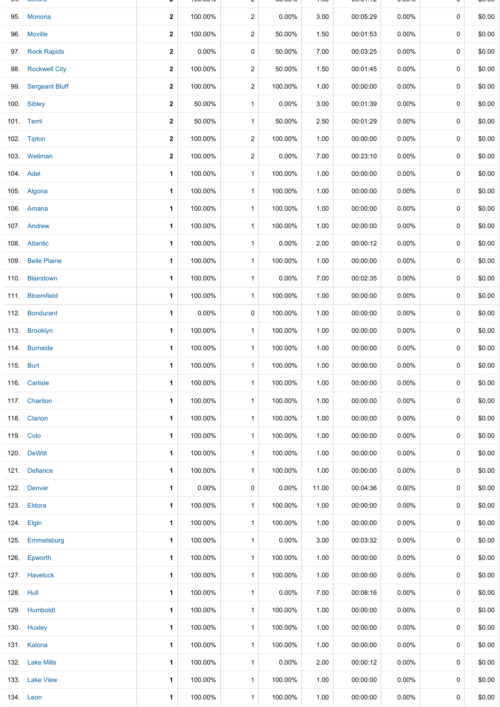|           | <u>IVIIIIVI</u> u    |                         | 100.0070 |                         | <u>JU.UU /U</u> | $\sim$ | 00.01.1Z | <b>0.0070</b> |             | ψυ.υυ  |
|-----------|----------------------|-------------------------|----------|-------------------------|-----------------|--------|----------|---------------|-------------|--------|
|           | 95. Monona           | $\mathbf{2}$            | 100.00%  | $\overline{c}$          | $0.00\%$        | 3.00   | 00:05:29 | $0.00\%$      | $\mathbf 0$ | \$0.00 |
| 96.       | <b>Moville</b>       | $\mathbf{2}$            | 100.00%  | $\overline{\mathbf{c}}$ | 50.00%          | 1.50   | 00:01:53 | $0.00\%$      | 0           | \$0.00 |
| 97.       | <b>Rock Rapids</b>   | $\mathbf 2$             | 0.00%    | 0                       | 50.00%          | 7.00   | 00:03:25 | 0.00%         | 0           | \$0.00 |
| 98.       | <b>Rockwell City</b> | $\mathbf 2$             | 100.00%  | $\overline{c}$          | 50.00%          | 1.50   | 00:01:45 | $0.00\%$      | 0           | \$0.00 |
|           | 99. Sergeant Bluff   | $\mathbf{2}$            | 100.00%  | 2                       | 100.00%         | 1.00   | 00:00:00 | 0.00%         | 0           | \$0.00 |
|           | 100. Sibley          | $\mathbf{2}$            | 50.00%   | $\mathbf{1}$            | 0.00%           | 3.00   | 00:01:39 | $0.00\%$      | 0           | \$0.00 |
|           | 101. Terril          | $\overline{\mathbf{2}}$ | 50.00%   | $\mathbf{1}$            | 50.00%          | 2.50   | 00:01:29 | 0.00%         | 0           | \$0.00 |
|           | 102. Tipton          | $\mathbf{2}$            | 100.00%  | $\overline{\mathbf{c}}$ | 100.00%         | 1.00   | 00:00:00 | $0.00\%$      | 0           | \$0.00 |
|           | 103. Wellman         | $\mathbf{2}$            | 100.00%  | $\overline{a}$          | 0.00%           | 7.00   | 00:23:10 | $0.00\%$      | 0           | \$0.00 |
|           | 104. Adel            | 1                       | 100.00%  | 1                       | 100.00%         | 1.00   | 00:00:00 | $0.00\%$      | 0           | \$0.00 |
|           | 105. Algona          | 1                       | 100.00%  | $\mathbf{1}$            | 100.00%         | 1.00   | 00:00:00 | $0.00\%$      | 0           | \$0.00 |
|           | 106. Amana           | 1                       | 100.00%  | $\mathbf{1}$            | 100.00%         | 1.00   | 00:00:00 | $0.00\%$      | 0           | \$0.00 |
|           | 107. Andrew          | 1                       | 100.00%  | $\mathbf{1}$            | 100.00%         | 1.00   | 00:00:00 | $0.00\%$      | 0           | \$0.00 |
|           | 108. Atlantic        | 1                       | 100.00%  | 1                       | 0.00%           | 2.00   | 00:00:12 | $0.00\%$      | 0           | \$0.00 |
| 109.      | <b>Belle Plaine</b>  | 1                       | 100.00%  | $\mathbf{1}$            | 100.00%         | 1.00   | 00:00:00 | $0.00\%$      | 0           | \$0.00 |
|           | 110. Blairstown      | 1                       | 100.00%  | $\mathbf{1}$            | 0.00%           | 7.00   | 00:02:35 | $0.00\%$      | 0           | \$0.00 |
| 111.      | <b>Bloomfield</b>    | 1                       | 100.00%  | $\mathbf{1}$            | 100.00%         | 1.00   | 00:00:00 | $0.00\%$      | 0           | \$0.00 |
|           | 112. Bondurant       | 1                       | $0.00\%$ | 0                       | 100.00%         | 1.00   | 00:00:00 | $0.00\%$      | 0           | \$0.00 |
|           | 113. Brooklyn        | 1                       | 100.00%  | $\mathbf{1}$            | 100.00%         | 1.00   | 00:00:00 | $0.00\%$      | 0           | \$0.00 |
|           | 114. Burnside        | 1                       | 100.00%  | 1                       | 100.00%         | 1.00   | 00:00:00 | $0.00\%$      | 0           | \$0.00 |
| 115. Burt |                      | 1                       | 100.00%  | $\mathbf{1}$            | 100.00%         | 1.00   | 00:00:00 | $0.00\%$      | 0           | \$0.00 |
|           | 116. Carlisle        | 1                       | 100.00%  | 1                       | 100.00%         | 1.00   | 00:00:00 | 0.00%         | 0           | \$0.00 |
|           | 117. Chariton        | 1                       | 100.00%  | 1                       | 100.00%         | 1.00   | 00:00:00 | $0.00\%$      | 0           | \$0.00 |
|           | 118. Clarion         | 1                       | 100.00%  | 1                       | 100.00%         | 1.00   | 00:00:00 | $0.00\%$      | 0           | \$0.00 |
|           | 119. Colo            | 1                       | 100.00%  | 1                       | 100.00%         | 1.00   | 00:00:00 | 0.00%         | 0           | \$0.00 |
|           | 120. DeWitt          | 1                       | 100.00%  | $\mathbf{1}$            | 100.00%         | 1.00   | 00:00:00 | $0.00\%$      | 0           | \$0.00 |
|           | 121. Defiance        | 1                       | 100.00%  | 1                       | 100.00%         | 1.00   | 00:00:00 | $0.00\%$      | 0           | \$0.00 |
|           | 122. Denver          | 1                       | $0.00\%$ | 0                       | 0.00%           | 11.00  | 00:04:36 | $0.00\%$      | 0           | \$0.00 |
|           | 123. Eldora          | 1                       | 100.00%  | 1                       | 100.00%         | 1.00   | 00:00:00 | $0.00\%$      | 0           | \$0.00 |
| 124.      | Elgin                | 1                       | 100.00%  | $\mathbf{1}$            | 100.00%         | 1.00   | 00:00:00 | $0.00\%$      | 0           | \$0.00 |
| 125.      | Emmetsburg           | 1                       | 100.00%  | 1                       | 0.00%           | 3.00   | 00:03:32 | $0.00\%$      | 0           | \$0.00 |
| 126.      | Epworth              | 1                       | 100.00%  | $\mathbf{1}$            | 100.00%         | 1.00   | 00:00:00 | $0.00\%$      | 0           | \$0.00 |
|           | 127. Havelock        | 1                       | 100.00%  | 1                       | 100.00%         | 1.00   | 00:00:00 | $0.00\%$      | 0           | \$0.00 |
| 128. Hull |                      | 1                       | 100.00%  | $\mathbf{1}$            | 0.00%           | 7.00   | 00:08:16 | 0.00%         | 0           | \$0.00 |
|           | 129. Humboldt        | 1                       | 100.00%  | 1                       | 100.00%         | 1.00   | 00:00:00 | $0.00\%$      | 0           | \$0.00 |
|           | 130. Huxley          | 1                       | 100.00%  | 1                       | 100.00%         | 1.00   | 00:00:00 | $0.00\%$      | 0           | \$0.00 |
|           | 131. Kalona          | 1                       | 100.00%  | 1                       | 100.00%         | 1.00   | 00:00:00 | $0.00\%$      | 0           | \$0.00 |
|           | 132. Lake Mills      | 1                       | 100.00%  | $\mathbf{1}$            | 0.00%           | 2.00   | 00:00:12 | $0.00\%$      | 0           | \$0.00 |
|           | 133. Lake View       | 1                       | 100.00%  | 1                       | 100.00%         | 1.00   | 00:00:00 | $0.00\%$      | 0           | \$0.00 |
|           | 134. Leon            | 1                       | 100.00%  | 1                       | 100.00%         | 1.00   | 00:00:00 | $0.00\%$      | 0           | \$0.00 |

**2** 100.00 / **2** 

2 5 0.0 0 % 1.5 0 0 0:0 1:1 2 0.0 0 %

ψυ.υυ

 $J$   $\tau$ . millong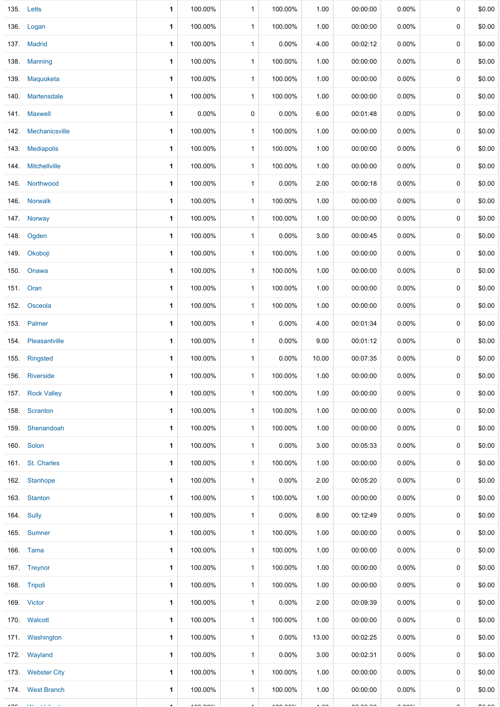|      | 135. Letts         | 1            | 100.00%        | 1            | 100.00%        | 1.00           | 00:00:00             | $0.00\%$             | 0 | \$0.00        |
|------|--------------------|--------------|----------------|--------------|----------------|----------------|----------------------|----------------------|---|---------------|
|      | 136. Logan         | 1            | 100.00%        | 1            | 100.00%        | 1.00           | 00:00:00             | $0.00\%$             | 0 | \$0.00        |
|      | 137. Madrid        | 1            | 100.00%        | $\mathbf{1}$ | 0.00%          | 4.00           | 00:02:12             | $0.00\%$             | 0 | \$0.00        |
|      | 138. Manning       | 1            | 100.00%        | 1            | 100.00%        | 1.00           | 00:00:00             | $0.00\%$             | 0 | \$0.00        |
|      | 139. Maquoketa     | 1            | 100.00%        | 1            | 100.00%        | 1.00           | 00:00:00             | $0.00\%$             | 0 | \$0.00        |
| 140. | Martensdale        | 1            | 100.00%        | $\mathbf{1}$ | 100.00%        | 1.00           | 00:00:00             | $0.00\%$             | 0 | \$0.00        |
|      | 141. Maxwell       | 1            | 0.00%          | 0            | 0.00%          | 6.00           | 00:01:48             | $0.00\%$             | 0 | \$0.00        |
| 142. | Mechanicsville     | 1            | 100.00%        | 1            | 100.00%        | 1.00           | 00:00:00             | $0.00\%$             | 0 | \$0.00        |
|      | 143. Mediapolis    | 1            | 100.00%        | 1            | 100.00%        | 1.00           | 00:00:00             | $0.00\%$             | 0 | \$0.00        |
| 144. | Mitchellville      | $\mathbf{1}$ | 100.00%        | $\mathbf{1}$ | 100.00%        | 1.00           | 00:00:00             | $0.00\%$             | 0 | \$0.00        |
|      | 145. Northwood     | 1            | 100.00%        | 1            | 0.00%          | 2.00           | 00:00:18             | $0.00\%$             | 0 | \$0.00        |
|      | 146. Norwalk       | 1            | 100.00%        | $\mathbf{1}$ | 100.00%        | 1.00           | 00:00:00             | $0.00\%$             | 0 | \$0.00        |
|      | 147. Norway        | 1            | 100.00%        | 1            | 100.00%        | 1.00           | 00:00:00             | $0.00\%$             | 0 | \$0.00        |
| 148. | Ogden              | 1            | 100.00%        | $\mathbf{1}$ | $0.00\%$       | 3.00           | 00:00:45             | $0.00\%$             | 0 | \$0.00        |
|      | 149. Okoboji       | 1            | 100.00%        | 1            | 100.00%        | 1.00           | 00:00:00             | $0.00\%$             | 0 | \$0.00        |
| 150. | Onawa              | 1            | 100.00%        | 1            | 100.00%        | 1.00           | 00:00:00             | 0.00%                | 0 | \$0.00        |
|      | 151. Oran          | 1            | 100.00%        | 1            | 100.00%        | 1.00           | 00:00:00             | $0.00\%$             | 0 | \$0.00        |
| 152. | Osceola            | 1            | 100.00%        | $\mathbf{1}$ | 100.00%        | 1.00           | 00:00:00             | $0.00\%$             | 0 | \$0.00        |
|      | 153. Palmer        | 1            | 100.00%        | 1            | 0.00%          | 4.00           | 00:01:34             | 0.00%                | 0 | \$0.00        |
|      | 154. Pleasantville | 1            | 100.00%        | 1            | 0.00%          | 9.00           | 00:01:12             | $0.00\%$             | 0 | \$0.00        |
|      | 155. Ringsted      | 1            | 100.00%        | 1            | 0.00%          | 10.00          | 00:07:35             | $0.00\%$             | 0 | \$0.00        |
|      | 156. Riverside     | 1            | 100.00%        | $\mathbf{1}$ | 100.00%        | 1.00           | 00:00:00             | $0.00\%$             | 0 | \$0.00        |
|      | 157. Rock Valley   | 1            | 100.00%        | $\mathbf{1}$ | 100.00%        | 1.00           | 00:00:00             | $0.00\%$             | 0 | \$0.00        |
|      | 158. Scranton      | 1            | 100.00%        | $\mathbf{1}$ | 100.00%        | 1.00           | 00:00:00             | $0.00\%$             | 0 | \$0.00        |
|      | 159. Shenandoah    | 1            | 100.00%        | $\mathbf{1}$ | 100.00%        | 1.00           | 00:00:00             | $0.00\%$             | 0 | \$0.00        |
|      | 160. Solon         | 1            | 100.00%        | $\mathbf{1}$ | 0.00%          | 3.00           | 00:05:33             | $0.00\%$             | 0 | \$0.00        |
|      | 161. St. Charles   | 1            | 100.00%        | $\mathbf{1}$ | 100.00%        | 1.00           | 00:00:00             | $0.00\%$             | 0 | \$0.00        |
|      | 162. Stanhope      | 1            | 100.00%        | $\mathbf{1}$ | $0.00\%$       | 2.00           | 00:05:20             | $0.00\%$             | 0 | \$0.00        |
|      | 163. Stanton       | 1            | 100.00%        | $\mathbf{1}$ | 100.00%        | 1.00           | 00:00:00             | $0.00\%$             | 0 | \$0.00        |
|      | 164. Sully         | 1            | 100.00%        | 1            | 0.00%          | 8.00           | 00:12:49             | $0.00\%$             | 0 | \$0.00        |
|      | 165. Sumner        | 1            | 100.00%        | $\mathbf{1}$ | 100.00%        | 1.00           | 00:00:00             | $0.00\%$             | 0 | \$0.00        |
|      | 166. Tama          | 1            | 100.00%        | 1            | 100.00%        | 1.00           | 00:00:00             | $0.00\%$             | 0 | \$0.00        |
|      | 167. Treynor       | 1            | 100.00%        | $\mathbf{1}$ | 100.00%        | 1.00           | 00:00:00             | $0.00\%$             | 0 | \$0.00        |
|      | 168. Tripoli       | 1            | 100.00%        | $\mathbf{1}$ | 100.00%        | 1.00           | 00:00:00             | $0.00\%$             | 0 | \$0.00        |
|      | 169. Victor        | 1            | 100.00%        | $\mathbf{1}$ | 0.00%          | 2.00           | 00:09:39             | $0.00\%$             | 0 | \$0.00        |
|      | 170. Walcott       | 1            | 100.00%        | $\mathbf{1}$ | 100.00%        | 1.00           | 00:00:00             | $0.00\%$             | 0 | \$0.00        |
|      | 171 Washington     | 1            | 100.00%        | $\mathbf{1}$ | 0.00%          | 13.00          | 00:02:25             | $0.00\%$             | 0 | \$0.00        |
|      | 172. Wayland       | 1            | 100.00%        | 1            | $0.00\%$       | 3.00           | 00:02:31             | $0.00\%$             | 0 | \$0.00        |
|      | 173. Webster City  | 1            | 100.00%        | $\mathbf{1}$ | 100.00%        | 1.00           | 00:00:00             | $0.00\%$             | 0 | \$0.00        |
|      | 174 West Branch    | 1            | 100.00%        | $\mathbf{1}$ | 100.00%        | 1.00           | 00:00:00             | $0.00\%$             | 0 | \$0.00        |
|      |                    |              | $\overline{1}$ |              | $\overline{a}$ | $\overline{1}$ | $\sim$ $\sim$ $\sim$ | $\sim$ $\sim$ $\sim$ |   | $\sim$ $\sim$ |